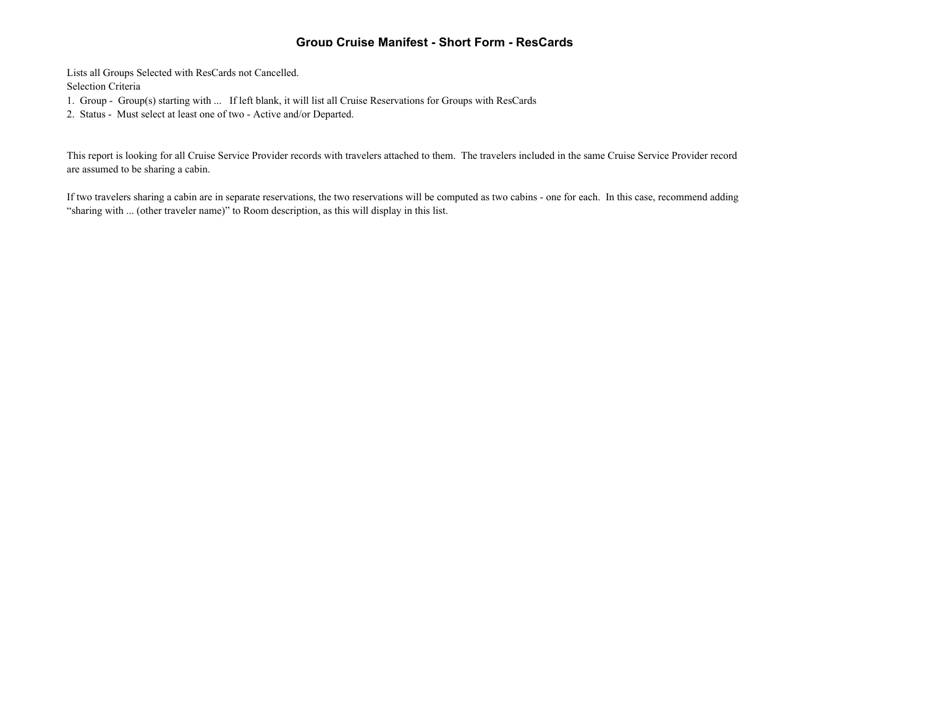# **Group Cruise Manifest - Short Form - ResCards**

Lists all Groups Selected with ResCards not Cancelled.

Selection Criteria

1. Group - Group(s) starting with ... If left blank, it will list all Cruise Reservations for Groups with ResCards

2. Status - Must select at least one of two - Active and/or Departed.

This report is looking for all Cruise Service Provider records with travelers attached to them. The travelers included in the same Cruise Service Provider record are assumed to be sharing a cabin.

If two travelers sharing a cabin are in separate reservations, the two reservations will be computed as two cabins - one for each. In this case, recommend adding "sharing with ... (other traveler name)" to Room description, as this will display in this list.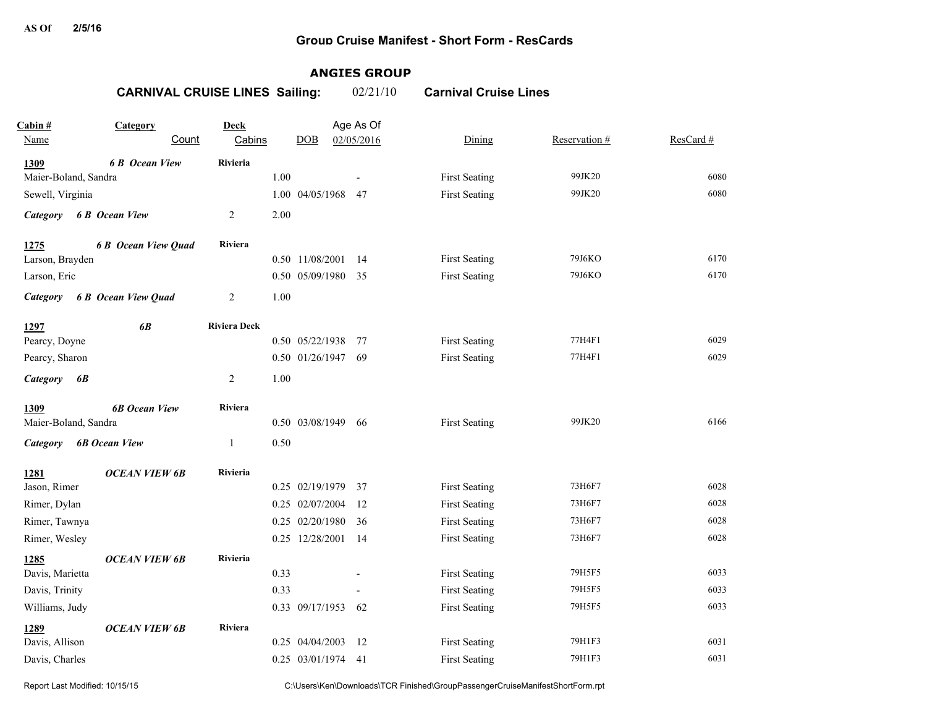#### **AS Of 2/5/16**

# **Group Cruise Manifest - Short Form - ResCards**

# **ANGIES GROUP**

**CARNIVAL CRUISE LINES Sailing:** 02/21/10 **Carnival Cruise Lines**

| Cabin#<br>Name          | Category<br>Count          | Deck<br>Cabins      |      | DOB             | Age As Of<br>02/05/2016 | Dining               | Reservation # | ResCard # |
|-------------------------|----------------------------|---------------------|------|-----------------|-------------------------|----------------------|---------------|-----------|
| 1309                    | <b>6 B</b> Ocean View      | Rivieria            |      |                 |                         |                      |               |           |
| Maier-Boland, Sandra    |                            |                     | 1.00 |                 |                         | <b>First Seating</b> | 99JK20        | 6080      |
| Sewell, Virginia        |                            |                     |      | 1.00 04/05/1968 | 47                      | <b>First Seating</b> | 99JK20        | 6080      |
| <b>Category</b>         | <b>6 B</b> Ocean View      | $\overline{c}$      | 2.00 |                 |                         |                      |               |           |
| 1275                    | <b>6 B</b> Ocean View Quad | Riviera             |      |                 |                         |                      |               |           |
| Larson, Brayden         |                            |                     |      | 0.50 11/08/2001 | -14                     | <b>First Seating</b> | 79J6KO        | 6170      |
| Larson, Eric            |                            |                     |      | 0.50 05/09/1980 | 35                      | <b>First Seating</b> | 79J6KO        | 6170      |
| Category                | <b>6 B</b> Ocean View Quad | $\overline{2}$      | 1.00 |                 |                         |                      |               |           |
| 1297                    | 6B                         | <b>Riviera Deck</b> |      |                 |                         |                      |               |           |
| Pearcy, Doyne           |                            |                     |      | 0.50 05/22/1938 | 77                      | <b>First Seating</b> | 77H4F1        | 6029      |
| Pearcy, Sharon          |                            |                     |      | 0.50 01/26/1947 | 69                      | <b>First Seating</b> | 77H4F1        | 6029      |
| <b>Category</b><br>6B   |                            | $\overline{c}$      | 1.00 |                 |                         |                      |               |           |
| 1309                    | <b>6B Ocean View</b>       | Riviera             |      |                 |                         |                      |               |           |
| Maier-Boland, Sandra    |                            |                     |      | 0.50 03/08/1949 | -66                     | <b>First Seating</b> | 99JK20        | 6166      |
| Category                | <b>6B Ocean View</b>       | $\mathbf{1}$        | 0.50 |                 |                         |                      |               |           |
| 1281                    | <b>OCEAN VIEW 6B</b>       | Rivieria            |      |                 |                         |                      |               |           |
| Jason, Rimer            |                            |                     |      | 0.25 02/19/1979 | 37                      | <b>First Seating</b> | 73H6F7        | 6028      |
| Rimer, Dylan            |                            |                     |      | 0.25 02/07/2004 | 12                      | <b>First Seating</b> | 73H6F7        | 6028      |
| Rimer, Tawnya           |                            |                     |      | 0.25 02/20/1980 | 36                      | <b>First Seating</b> | 73H6F7        | 6028      |
| Rimer, Wesley           |                            |                     |      | 0.25 12/28/2001 | -14                     | <b>First Seating</b> | 73H6F7        | 6028      |
| 1285<br>Davis, Marietta | <b>OCEAN VIEW 6B</b>       | Rivieria            | 0.33 |                 |                         | <b>First Seating</b> | 79H5F5        | 6033      |
| Davis, Trinity          |                            |                     | 0.33 |                 |                         | <b>First Seating</b> | 79H5F5        | 6033      |
| Williams, Judy          |                            |                     |      | 0.33 09/17/1953 | 62                      | <b>First Seating</b> | 79H5F5        | 6033      |
|                         |                            |                     |      |                 |                         |                      |               |           |
| 1289<br>Davis, Allison  | <b>OCEAN VIEW 6B</b>       | Riviera             |      | 0.25 04/04/2003 | 12                      | <b>First Seating</b> | 79H1F3        | 6031      |
| Davis, Charles          |                            |                     |      | 0.25 03/01/1974 | 41                      | <b>First Seating</b> | 79H1F3        | 6031      |